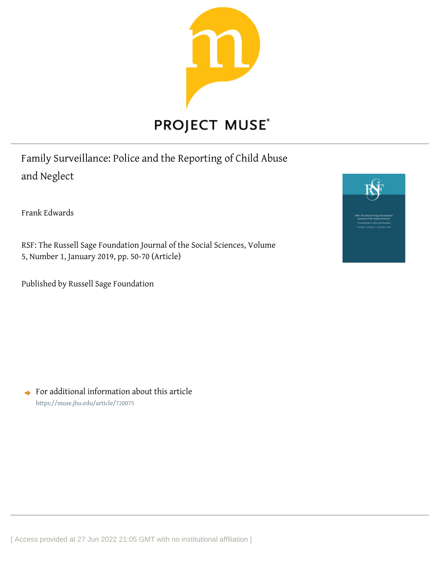

Family Surveillance: Police and the Reporting of Child Abuse and Neglect

Frank Edwards

RSF: The Russell Sage Foundation Journal of the Social Sciences, Volume 5, Number 1, January 2019, pp. 50-70 (Article)

Published by Russell Sage Foundation



 $\rightarrow$  For additional information about this article <https://muse.jhu.edu/article/720075>

[ Access provided at 27 Jun 2022 21:05 GMT with no institutional affiliation ]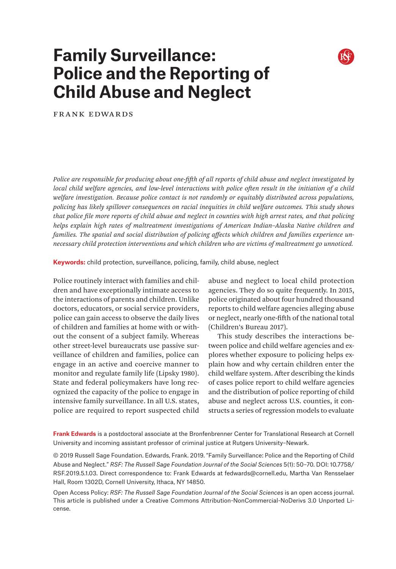

# **Family Surveillance: Police and the Reporting of Child Abuse and Neglect**

Frank Edwards

*Police are responsible for producing about one-fifth of all reports of child abuse and neglect investigated by local child welfare agencies, and low-level interactions with police often result in the initiation of a child welfare investigation. Because police contact is not randomly or equitably distributed across populations, policing has likely spillover consequences on racial inequities in child welfare outcomes. This study shows that police file more reports of child abuse and neglect in counties with high arrest rates, and that policing helps explain high rates of maltreatment investigations of American Indian–Alaska Native children and families. The spatial and social distribution of policing affects which children and families experience unnecessary child protection interventions and which children who are victims of maltreatment go unnoticed.*

**Keywords:** child protection, surveillance, policing, family, child abuse, neglect

Police routinely interact with families and children and have exceptionally intimate access to the interactions of parents and children. Unlike doctors, educators, or social service providers, police can gain access to observe the daily lives of children and families at home with or without the consent of a subject family. Whereas other street-level bureaucrats use passive surveillance of children and families, police can engage in an active and coercive manner to monitor and regulate family life (Lipsky 1980). State and federal policymakers have long recognized the capacity of the police to engage in intensive family surveillance. In all U.S. states, police are required to report suspected child

abuse and neglect to local child protection agencies. They do so quite frequently. In 2015, police originated about four hundred thousand reports to child welfare agencies alleging abuse or neglect, nearly one-fifth of the national total (Children's Bureau 2017).

This study describes the interactions between police and child welfare agencies and explores whether exposure to policing helps explain how and why certain children enter the child welfare system. After describing the kinds of cases police report to child welfare agencies and the distribution of police reporting of child abuse and neglect across U.S. counties, it constructs a series of regression models to evaluate

**Frank Edwards** is a postdoctoral associate at the Bronfenbrenner Center for Translational Research at Cornell University and incoming assistant professor of criminal justice at Rutgers University–Newark.

© 2019 Russell Sage Foundation. Edwards, Frank. 2019. "Family Surveillance: Police and the Reporting of Child Abuse and Neglect." *RSF: The Russell Sage Foundation Journal of the Social Sciences* 5(1): 50–70. DOI: 10.7758/ RSF.2019.5.1.03. Direct correspondence to: Frank Edwards at [fedwards@cornell.edu,](mailto:fedwards%40cornell.edu?subject=) Martha Van Rensselaer Hall, Room 1302D, Cornell University, Ithaca, NY 14850.

Open Access Policy: *RSF: The Russell Sage Foundation Journal of the Social Sciences* is an open access journal. This article is published under a Creative Commons Attribution-NonCommercial-NoDerivs 3.0 Unported License.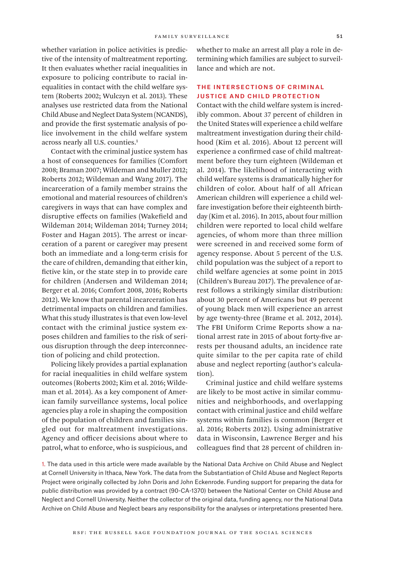whether variation in police activities is predictive of the intensity of maltreatment reporting. It then evaluates whether racial inequalities in exposure to policing contribute to racial inequalities in contact with the child welfare system (Roberts 2002; Wulczyn et al. 2013). These analyses use restricted data from the National Child Abuse and Neglect Data System (NCANDS), and provide the first systematic analysis of police involvement in the child welfare system across nearly all U.S. counties.1

Contact with the criminal justice system has a host of consequences for families (Comfort 2008; Braman 2007; Wildeman and Muller 2012; Roberts 2012; Wildeman and Wang 2017). The incarceration of a family member strains the emotional and material resources of children's caregivers in ways that can have complex and disruptive effects on families (Wakefield and Wildeman 2014; Wildeman 2014; Turney 2014; Foster and Hagan 2015). The arrest or incarceration of a parent or caregiver may present both an immediate and a long-term crisis for the care of children, demanding that either kin, fictive kin, or the state step in to provide care for children (Andersen and Wildeman 2014; Berger et al. 2016; Comfort 2008, 2016; Roberts 2012). We know that parental incarceration has detrimental impacts on children and families. What this study illustrates is that even low-level contact with the criminal justice system exposes children and families to the risk of serious disruption through the deep interconnection of policing and child protection.

Policing likely provides a partial explanation for racial inequalities in child welfare system outcomes (Roberts 2002; Kim et al. 2016; Wildeman et al. 2014). As a key component of American family surveillance systems, local police agencies play a role in shaping the composition of the population of children and families singled out for maltreatment investigations. Agency and officer decisions about where to patrol, what to enforce, who is suspicious, and

whether to make an arrest all play a role in determining which families are subject to surveillance and which are not.

# The Intersections of Criminal Justice and Child Protection

Contact with the child welfare system is incredibly common. About 37 percent of children in the United States will experience a child welfare maltreatment investigation during their childhood (Kim et al. 2016). About 12 percent will experience a confirmed case of child maltreatment before they turn eighteen (Wildeman et al. 2014). The likelihood of interacting with child welfare systems is dramatically higher for children of color. About half of all African American children will experience a child welfare investigation before their eighteenth birthday (Kim et al. 2016). In 2015, about four million children were reported to local child welfare agencies, of whom more than three million were screened in and received some form of agency response. About 5 percent of the U.S. child population was the subject of a report to child welfare agencies at some point in 2015 (Children's Bureau 2017). The prevalence of arrest follows a strikingly similar distribution: about 30 percent of Americans but 49 percent of young black men will experience an arrest by age twenty-three (Brame et al. 2012, 2014). The FBI Uniform Crime Reports show a national arrest rate in 2015 of about forty-five arrests per thousand adults, an incidence rate quite similar to the per capita rate of child abuse and neglect reporting (author's calculation).

Criminal justice and child welfare systems are likely to be most active in similar communities and neighborhoods, and overlapping contact with criminal justice and child welfare systems within families is common (Berger et al. 2016; Roberts 2012). Using administrative data in Wisconsin, Lawrence Berger and his colleagues find that 28 percent of children in-

1. The data used in this article were made available by the National Data Archive on Child Abuse and Neglect at Cornell University in Ithaca, New York. The data from the Substantiation of Child Abuse and Neglect Reports Project were originally collected by John Doris and John Eckenrode. Funding support for preparing the data for public distribution was provided by a contract (90-CA-1370) between the National Center on Child Abuse and Neglect and Cornell University. Neither the collector of the original data, funding agency, nor the National Data Archive on Child Abuse and Neglect bears any responsibility for the analyses or interpretations presented here.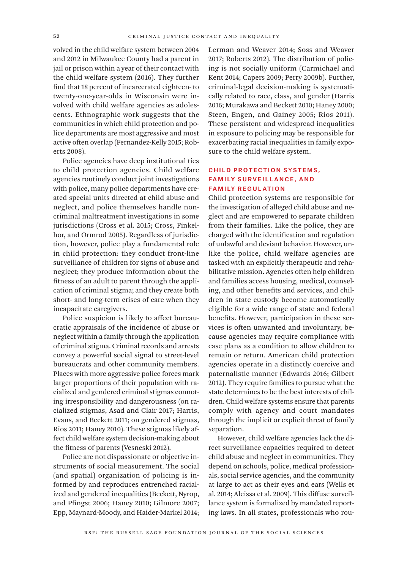volved in the child welfare system between 2004 and 2012 in Milwaukee County had a parent in jail or prison within a year of their contact with the child welfare system (2016). They further find that 18 percent of incarcerated eighteen- to twenty-one-year-olds in Wisconsin were involved with child welfare agencies as adolescents. Ethnographic work suggests that the communities in which child protection and police departments are most aggressive and most active often overlap (Fernandez-Kelly 2015; Roberts 2008).

Police agencies have deep institutional ties to child protection agencies. Child welfare agencies routinely conduct joint investigations with police, many police departments have created special units directed at child abuse and neglect, and police themselves handle noncriminal maltreatment investigations in some jurisdictions (Cross et al. 2015; Cross, Finkelhor, and Ormrod 2005). Regardless of jurisdiction, however, police play a fundamental role in child protection: they conduct front-line surveillance of children for signs of abuse and neglect; they produce information about the fitness of an adult to parent through the application of criminal stigma; and they create both short- and long-term crises of care when they incapacitate caregivers.

Police suspicion is likely to affect bureaucratic appraisals of the incidence of abuse or neglect within a family through the application of criminal stigma. Criminal records and arrests convey a powerful social signal to street-level bureaucrats and other community members. Places with more aggressive police forces mark larger proportions of their population with racialized and gendered criminal stigmas connoting irresponsibility and dangerousness (on racialized stigmas, Asad and Clair 2017; Harris, Evans, and Beckett 2011; on gendered stigmas, Rios 2011; Haney 2010). These stigmas likely affect child welfare system decision-making about the fitness of parents (Vesneski 2012).

Police are not dispassionate or objective instruments of social measurement. The social (and spatial) organization of policing is informed by and reproduces entrenched racialized and gendered inequalities (Beckett, Nyrop, and Pfingst 2006; Haney 2010; Gilmore 2007; Epp, Maynard-Moody, and Haider-Markel 2014; Lerman and Weaver 2014; Soss and Weaver 2017; Roberts 2012). The distribution of policing is not socially uniform (Carmichael and Kent 2014; Capers 2009; Perry 2009b). Further, criminal-legal decision-making is systematically related to race, class, and gender (Harris 2016; Murakawa and Beckett 2010; Haney 2000; Steen, Engen, and Gainey 2005; Rios 2011). These persistent and widespread inequalities in exposure to policing may be responsible for exacerbating racial inequalities in family exposure to the child welfare system.

# Child Protection Systems, Family Surveillance, and Family Regulation

Child protection systems are responsible for the investigation of alleged child abuse and neglect and are empowered to separate children from their families. Like the police, they are charged with the identification and regulation of unlawful and deviant behavior. However, unlike the police, child welfare agencies are tasked with an explicitly therapeutic and rehabilitative mission. Agencies often help children and families access housing, medical, counseling, and other benefits and services, and children in state custody become automatically eligible for a wide range of state and federal benefits. However, participation in these services is often unwanted and involuntary, because agencies may require compliance with case plans as a condition to allow children to remain or return. American child protection agencies operate in a distinctly coercive and paternalistic manner (Edwards 2016; Gilbert 2012). They require families to pursue what the state determines to be the best interests of children. Child welfare systems ensure that parents comply with agency and court mandates through the implicit or explicit threat of family separation.

However, child welfare agencies lack the direct surveillance capacities required to detect child abuse and neglect in communities. They depend on schools, police, medical professionals, social service agencies, and the community at large to act as their eyes and ears (Wells et al. 2014; Aleissa et al. 2009). This diffuse surveillance system is formalized by mandated reporting laws. In all states, professionals who rou-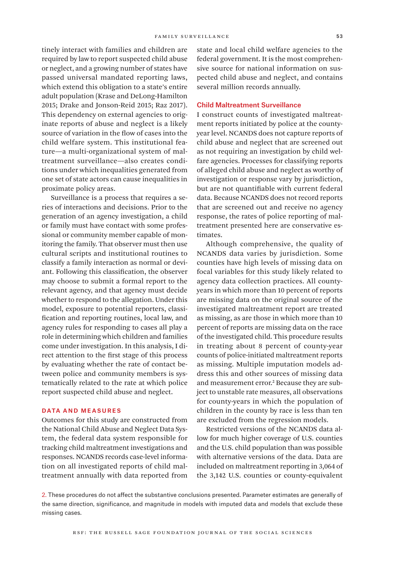tinely interact with families and children are required by law to report suspected child abuse or neglect, and a growing number of states have passed universal mandated reporting laws, which extend this obligation to a state's entire adult population (Krase and DeLong-Hamilton 2015; Drake and Jonson-Reid 2015; Raz 2017). This dependency on external agencies to originate reports of abuse and neglect is a likely source of variation in the flow of cases into the child welfare system. This institutional feature—a multi-organizational system of maltreatment surveillance—also creates conditions under which inequalities generated from one set of state actors can cause inequalities in proximate policy areas.

Surveillance is a process that requires a series of interactions and decisions. Prior to the generation of an agency investigation, a child or family must have contact with some professional or community member capable of monitoring the family. That observer must then use cultural scripts and institutional routines to classify a family interaction as normal or deviant. Following this classification, the observer may choose to submit a formal report to the relevant agency, and that agency must decide whether to respond to the allegation. Under this model, exposure to potential reporters, classification and reporting routines, local law, and agency rules for responding to cases all play a role in determining which children and families come under investigation. In this analysis, I direct attention to the first stage of this process by evaluating whether the rate of contact between police and community members is systematically related to the rate at which police report suspected child abuse and neglect.

## DATA AND MEASURES

Outcomes for this study are constructed from the National Child Abuse and Neglect Data System, the federal data system responsible for tracking child maltreatment investigations and responses. NCANDS records case-level information on all investigated reports of child maltreatment annually with data reported from state and local child welfare agencies to the federal government. It is the most comprehensive source for national information on suspected child abuse and neglect, and contains several million records annually.

## Child Maltreatment Surveillance

I construct counts of investigated maltreatment reports initiated by police at the countyyear level. NCANDS does not capture reports of child abuse and neglect that are screened out as not requiring an investigation by child welfare agencies. Processes for classifying reports of alleged child abuse and neglect as worthy of investigation or response vary by jurisdiction, but are not quantifiable with current federal data. Because NCANDS does not record reports that are screened out and receive no agency response, the rates of police reporting of maltreatment presented here are conservative estimates.

Although comprehensive, the quality of NCANDS data varies by jurisdiction. Some counties have high levels of missing data on focal variables for this study likely related to agency data collection practices. All countyyears in which more than 10 percent of reports are missing data on the original source of the investigated maltreatment report are treated as missing, as are those in which more than 10 percent of reports are missing data on the race of the investigated child. This procedure results in treating about 8 percent of county-year counts of police-initiated maltreatment reports as missing. Multiple imputation models address this and other sources of missing data and measurement error.<sup>2</sup> Because they are subject to unstable rate measures, all observations for county-years in which the population of children in the county by race is less than ten are excluded from the regression models.

Restricted versions of the NCANDS data allow for much higher coverage of U.S. counties and the U.S. child population than was possible with alternative versions of the data. Data are included on maltreatment reporting in 3,064 of the 3,142 U.S. counties or county-equivalent

2. These procedures do not affect the substantive conclusions presented. Parameter estimates are generally of the same direction, significance, and magnitude in models with imputed data and models that exclude these missing cases.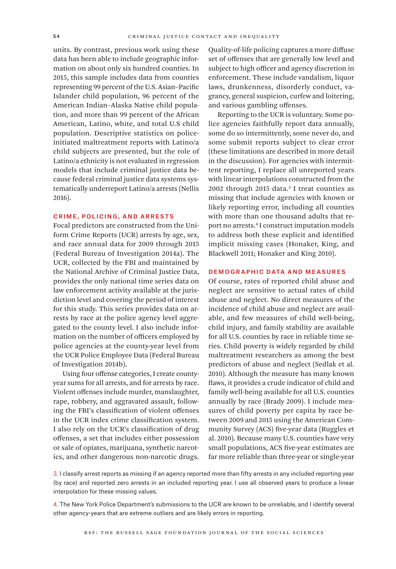units. By contrast, previous work using these data has been able to include geographic information on about only six hundred counties. In 2015, this sample includes data from counties representing 99 percent of the U.S. Asian–Pacific Islander child population, 96 percent of the American Indian–Alaska Native child population, and more than 99 percent of the African American, Latino, white, and total U.S child population. Descriptive statistics on policeinitiated maltreatment reports with Latino/a child subjects are presented, but the role of Latino/a ethnicity is not evaluated in regression models that include criminal justice data because federal criminal justice data systems systematically underreport Latino/a arrests (Nellis 2016).

#### Crime, Policing, and Arrests

Focal predictors are constructed from the Uniform Crime Reports (UCR) arrests by age, sex, and race annual data for 2009 through 2015 (Federal Bureau of Investigation 2014a). The UCR, collected by the FBI and maintained by the National Archive of Criminal Justice Data, provides the only national time series data on law enforcement activity available at the jurisdiction level and covering the period of interest for this study. This series provides data on arrests by race at the police agency level aggregated to the county level. I also include information on the number of officers employed by police agencies at the county-year level from the UCR Police Employee Data (Federal Bureau of Investigation 2014b).

Using four offense categories, I create countyyear sums for all arrests, and for arrests by race. Violent offenses include murder, manslaughter, rape, robbery, and aggravated assault, following the FBI's classification of violent offenses in the UCR index crime classification system. I also rely on the UCR's classification of drug offenses, a set that includes either possession or sale of opiates, marijuana, synthetic narcotics, and other dangerous non-narcotic drugs.

Quality-of-life policing captures a more diffuse set of offenses that are generally low level and subject to high officer and agency discretion in enforcement. These include vandalism, liquor laws, drunkenness, disorderly conduct, vagrancy, general suspicion, curfew and loitering, and various gambling offenses.

Reporting to the UCR is voluntary. Some police agencies faithfully report data annually, some do so intermittently, some never do, and some submit reports subject to clear error (these limitations are described in more detail in the discussion). For agencies with intermittent reporting, I replace all unreported years with linear interpolations constructed from the 2002 through 2015 data.3 I treat counties as missing that include agencies with known or likely reporting error, including all counties with more than one thousand adults that report no arrests.4 I construct imputation models to address both these explicit and identified implicit missing cases (Honaker, King, and Blackwell 2011; Honaker and King 2010).

## Demographic Data and Measures

Of course, rates of reported child abuse and neglect are sensitive to actual rates of child abuse and neglect. No direct measures of the incidence of child abuse and neglect are available, and few measures of child well-being, child injury, and family stability are available for all U.S. counties by race in reliable time series. Child poverty is widely regarded by child maltreatment researchers as among the best predictors of abuse and neglect (Sedlak et al. 2010). Although the measure has many known flaws, it provides a crude indicator of child and family well-being available for all U.S. counties annually by race (Brady 2009). I include measures of child poverty per capita by race between 2009 and 2015 using the American Community Survey (ACS) five-year data (Ruggles et al. 2010). Because many U.S. counties have very small populations, ACS five-year estimates are far more reliable than three-year or single-year

3. I classify arrest reports as missing if an agency reported more than fifty arrests in any included reporting year (by race) and reported zero arrests in an included reporting year. I use all observed years to produce a linear interpolation for these missing values.

4. The New York Police Department's submissions to the UCR are known to be unreliable, and I identify several other agency-years that are extreme outliers and are likely errors in reporting.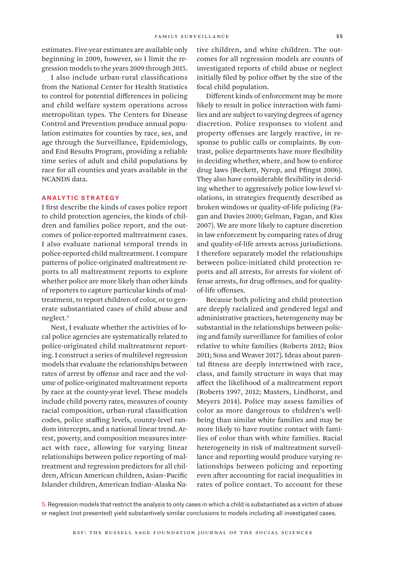estimates. Five-year estimates are available only beginning in 2009, however, so I limit the regression models to the years 2009 through 2015.

I also include urban-rural classifications from the National Center for Health Statistics to control for potential differences in policing and child welfare system operations across metropolitan types. The Centers for Disease Control and Prevention produce annual population estimates for counties by race, sex, and age through the Surveillance, Epidemiology, and End Results Program, providing a reliable time series of adult and child populations by race for all counties and years available in the NCANDS data.

## Analytic Strategy

I first describe the kinds of cases police report to child protection agencies, the kinds of children and families police report, and the outcomes of police-reported maltreatment cases. I also evaluate national temporal trends in police-reported child maltreatment. I compare patterns of police-originated maltreatment reports to all maltreatment reports to explore whether police are more likely than other kinds of reporters to capture particular kinds of maltreatment, to report children of color, or to generate substantiated cases of child abuse and neglect.5

Next, I evaluate whether the activities of local police agencies are systematically related to police-originated child maltreatment reporting. I construct a series of multilevel regression models that evaluate the relationships between rates of arrest by offense and race and the volume of police-originated maltreatment reports by race at the county-year level. These models include child poverty rates, measures of county racial composition, urban-rural classification codes, police staffing levels, county-level random intercepts, and a national linear trend. Arrest, poverty, and composition measures interact with race, allowing for varying linear relationships between police reporting of maltreatment and regression predictors for all children, African American children, Asian–Pacific Islander children, American Indian–Alaska Native children, and white children. The outcomes for all regression models are counts of investigated reports of child abuse or neglect initially filed by police offset by the size of the focal child population.

Different kinds of enforcement may be more likely to result in police interaction with families and are subject to varying degrees of agency discretion. Police responses to violent and property offenses are largely reactive, in response to public calls or complaints. By contrast, police departments have more flexibility in deciding whether, where, and how to enforce drug laws (Beckett, Nyrop, and Pfingst 2006). They also have considerable flexibility in deciding whether to aggressively police low-level violations, in strategies frequently described as broken windows or quality-of-life policing (Fagan and Davies 2000; Gelman, Fagan, and Kiss 2007). We are more likely to capture discretion in law enforcement by comparing rates of drug and quality-of-life arrests across jurisdictions. I therefore separately model the relationships between police-initiated child protection reports and all arrests, for arrests for violent offense arrests, for drug offenses, and for qualityof-life offenses.

Because both policing and child protection are deeply racialized and gendered legal and administrative practices, heterogeneity may be substantial in the relationships between policing and family surveillance for families of color relative to white families (Roberts 2012; Rios 2011; Soss and Weaver 2017). Ideas about parental fitness are deeply intertwined with race, class, and family structure in ways that may affect the likelihood of a maltreatment report (Roberts 1997, 2012; Masters, Lindhorst, and Meyers 2014). Police may assess families of color as more dangerous to children's wellbeing than similar white families and may be more likely to have routine contact with families of color than with white families. Racial heterogeneity in risk of maltreatment surveillance and reporting would produce varying relationships between policing and reporting even after accounting for racial inequalities in rates of police contact. To account for these

5. Regression models that restrict the analysis to only cases in which a child is substantiated as a victim of abuse or neglect (not presented) yield substantively similar conclusions to models including all investigated cases.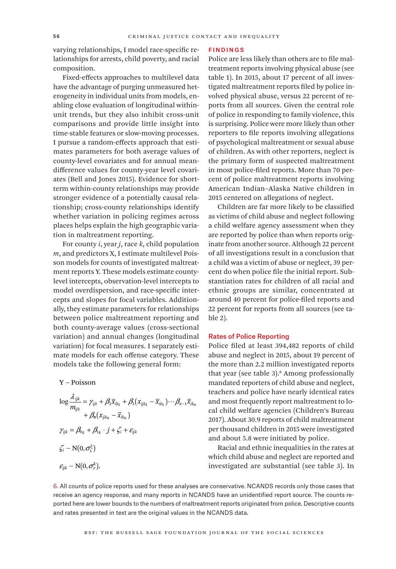varying relationships, I model race-specific relationships for arrests, child poverty, and racial composition.

Fixed-effects approaches to multilevel data have the advantage of purging unmeasured heterogeneity in individual units from models, enabling close evaluation of longitudinal withinunit trends, but they also inhibit cross-unit comparisons and provide little insight into time-stable features or slow-moving processes. I pursue a random-effects approach that estimates parameters for both average values of county-level covariates and for annual meandifference values for county-year level covariates (Bell and Jones 2015). Evidence for shortterm within-county relationships may provide stronger evidence of a potentially causal relationship; cross-county relationships identify whether variation in policing regimes across places helps explain the high geographic variation in maltreatment reporting.

For county *i*, year *j*, race *k*, child population *m*, and predictors X, I estimate multilevel Poisson models for counts of investigated maltreatment reports Y. These models estimate countylevel intercepts, observation-level intercepts to model overdispersion, and race-specific intercepts and slopes for focal variables. Additionally, they estimate parameters for relationships between police maltreatment reporting and both county-average values (cross-sectional variation) and annual changes (longitudinal variation) for focal measures. I separately estimate models for each offense category. These models take the following general form:

Y Poisson ∼

$$
\log \frac{\lambda_{ijk}}{m_{ijk}} = \gamma_{ijk} + \beta_2 \overline{x}_{ik_1} + \beta_3 (x_{ijk_1} - \overline{x}_{ik_1}) \cdots \beta_{n-1} \overline{x}_{ik_n} + \beta_n (x_{ijk_n} - \overline{x}_{ik_n}) \gamma_{ijk} = \beta_{0k} + \beta_{1k} \cdot j + \zeta_i + \varepsilon_{ijk} \zeta_i \sim N(0, \sigma_{\zeta}^2) \varepsilon_{ijk} \sim N(0, \sigma_{\epsilon}^2).
$$

#### Findings

Police are less likely than others are to file maltreatment reports involving physical abuse (see table 1). In 2015, about 17 percent of all investigated maltreatment reports filed by police involved physical abuse, versus 22 percent of reports from all sources. Given the central role of police in responding to family violence, this is surprising. Police were more likely than other reporters to file reports involving allegations of psychological maltreatment or sexual abuse of children. As with other reporters, neglect is the primary form of suspected maltreatment in most police-filed reports. More than 70 percent of police maltreatment reports involving American Indian–Alaska Native children in 2015 centered on allegations of neglect.

Children are far more likely to be classified as victims of child abuse and neglect following a child welfare agency assessment when they are reported by police than when reports originate from another source. Although 22 percent of all investigations result in a conclusion that a child was a victim of abuse or neglect, 39 percent do when police file the initial report. Substantiation rates for children of all racial and ethnic groups are similar, concentrated at around 40 percent for police-filed reports and 22 percent for reports from all sources (see table 2).

## Rates of Police Reporting

Police filed at least 394,482 reports of child abuse and neglect in 2015, about 19 percent of the more than 2.2 million investigated reports that year (see table 3).<sup>6</sup> Among professionally mandated reporters of child abuse and neglect, teachers and police have nearly identical rates and most frequently report maltreatment to local child welfare agencies (Children's Bureau 2017). About 30.9 reports of child maltreatment per thousand children in 2015 were investigated and about 5.8 were initiated by police.

Racial and ethnic inequalities in the rates at which child abuse and neglect are reported and investigated are substantial (see table 3). In

6. All counts of police reports used for these analyses are conservative. NCANDS records only those cases that receive an agency response, and many reports in NCANDS have an unidentified report source. The counts reported here are lower bounds to the numbers of maltreatment reports originated from police. Descriptive counts and rates presented in text are the original values in the NCANDS data.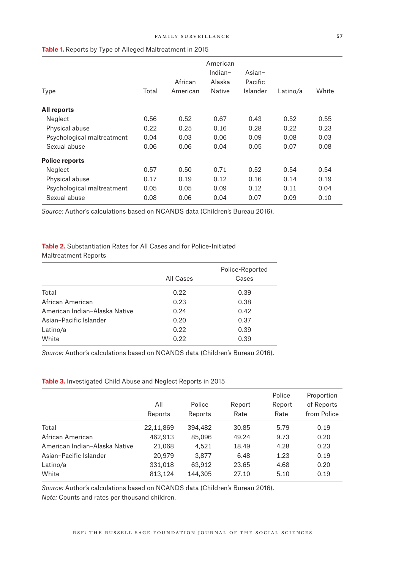| Type                       | Total | African<br>American | American<br>Indian-<br>Alaska<br>Native | Asian $-$<br>Pacific<br>Islander | Latino/a | White |
|----------------------------|-------|---------------------|-----------------------------------------|----------------------------------|----------|-------|
| All reports                |       |                     |                                         |                                  |          |       |
| Neglect                    | 0.56  | 0.52                | 0.67                                    | 0.43                             | 0.52     | 0.55  |
| Physical abuse             | 0.22  | 0.25                | 0.16                                    | 0.28                             | 0.22     | 0.23  |
| Psychological maltreatment | 0.04  | 0.03                | 0.06                                    | 0.09                             | 0.08     | 0.03  |
| Sexual abuse               | 0.06  | 0.06                | 0.04                                    | 0.05                             | 0.07     | 0.08  |
| <b>Police reports</b>      |       |                     |                                         |                                  |          |       |
| Neglect                    | 0.57  | 0.50                | 0.71                                    | 0.52                             | 0.54     | 0.54  |
| Physical abuse             | 0.17  | 0.19                | 0.12                                    | 0.16                             | 0.14     | 0.19  |
| Psychological maltreatment | 0.05  | 0.05                | 0.09                                    | 0.12                             | 0.11     | 0.04  |
| Sexual abuse               | 0.08  | 0.06                | 0.04                                    | 0.07                             | 0.09     | 0.10  |

## **Table 1.** Reports by Type of Alleged Maltreatment in 2015

*Source:* Author's calculations based on NCANDS data (Children's Bureau 2016).

# **Table 2.** Substantiation Rates for All Cases and for Police-Initiated Maltreatment Reports

|                               | All Cases | Police-Reported<br>Cases |
|-------------------------------|-----------|--------------------------|
| Total                         | 0.22      | 0.39                     |
| African American              | 0.23      | 0.38                     |
| American Indian-Alaska Native | 0.24      | 0.42                     |
| Asian-Pacific Islander        | 0.20      | 0.37                     |
| Latino/a                      | 0.22      | 0.39                     |
| White                         | 0.22      | 0.39                     |

*Source:* Author's calculations based on NCANDS data (Children's Bureau 2016).

## **Table 3.** Investigated Child Abuse and Neglect Reports in 2015

|                               | All<br>Reports | Police<br>Reports | Report<br>Rate | Police<br>Report<br>Rate | Proportion<br>of Reports<br>from Police |
|-------------------------------|----------------|-------------------|----------------|--------------------------|-----------------------------------------|
| Total                         | 22,11,869      | 394,482           | 30.85          | 5.79                     | 0.19                                    |
| African American              | 462,913        | 85,096            | 49.24          | 9.73                     | 0.20                                    |
| American Indian-Alaska Native | 21,068         | 4,521             | 18.49          | 4.28                     | 0.23                                    |
| Asian-Pacific Islander        | 20,979         | 3.877             | 6.48           | 1.23                     | 0.19                                    |
| Latino/a                      | 331,018        | 63,912            | 23.65          | 4.68                     | 0.20                                    |
| White                         | 813,124        | 144,305           | 27.10          | 5.10                     | 0.19                                    |

*Source:* Author's calculations based on NCANDS data (Children's Bureau 2016).

*Note:* Counts and rates per thousand children.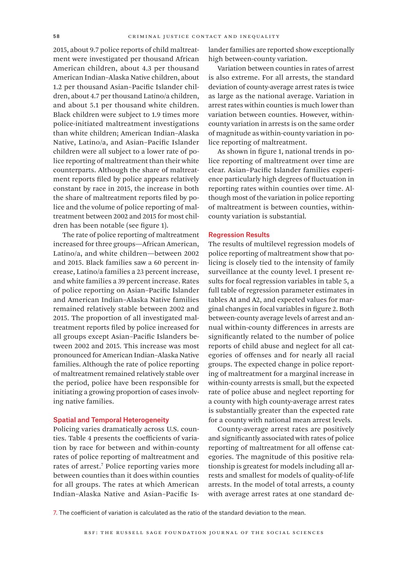2015, about 9.7 police reports of child maltreatment were investigated per thousand African American children, about 4.3 per thousand American Indian–Alaska Native children, about 1.2 per thousand Asian–Pacific Islander children, about 4.7 per thousand Latino/a children, and about 5.1 per thousand white children. Black children were subject to 1.9 times more police-initiated maltreatment investigations than white children; American Indian–Alaska Native, Latino/a, and Asian–Pacific Islander children were all subject to a lower rate of police reporting of maltreatment than their white counterparts. Although the share of maltreatment reports filed by police appears relatively constant by race in 2015, the increase in both the share of maltreatment reports filed by police and the volume of police reporting of maltreatment between 2002 and 2015 for most children has been notable (see figure 1).

The rate of police reporting of maltreatment increased for three groups—African American, Latino/a, and white children—between 2002 and 2015. Black families saw a 60 percent increase, Latino/a families a 23 percent increase, and white families a 39 percent increase. Rates of police reporting on Asian–Pacific Islander and American Indian–Alaska Native families remained relatively stable between 2002 and 2015. The proportion of all investigated maltreatment reports filed by police increased for all groups except Asian–Pacific Islanders between 2002 and 2015. This increase was most pronounced for American Indian–Alaska Native families. Although the rate of police reporting of maltreatment remained relatively stable over the period, police have been responsible for initiating a growing proportion of cases involving native families.

## Spatial and Temporal Heterogeneity

Policing varies dramatically across U.S. counties. Table 4 presents the coefficients of variation by race for between and within-county rates of police reporting of maltreatment and rates of arrest.7 Police reporting varies more between counties than it does within counties for all groups. The rates at which American Indian–Alaska Native and Asian–Pacific Islander families are reported show exceptionally high between-county variation.

Variation between counties in rates of arrest is also extreme. For all arrests, the standard deviation of county-average arrest rates is twice as large as the national average. Variation in arrest rates within counties is much lower than variation between counties. However, withincounty variation in arrests is on the same order of magnitude as within-county variation in police reporting of maltreatment.

As shown in figure 1, national trends in police reporting of maltreatment over time are clear. Asian–Pacific Islander families experience particularly high degrees of fluctuation in reporting rates within counties over time. Although most of the variation in police reporting of maltreatment is between counties, withincounty variation is substantial.

## Regression Results

The results of multilevel regression models of police reporting of maltreatment show that policing is closely tied to the intensity of family surveillance at the county level. I present results for focal regression variables in table 5, a full table of regression parameter estimates in tables A1 and A2, and expected values for marginal changes in focal variables in figure 2. Both between-county average levels of arrest and annual within-county differences in arrests are significantly related to the number of police reports of child abuse and neglect for all categories of offenses and for nearly all racial groups. The expected change in police reporting of maltreatment for a marginal increase in within-county arrests is small, but the expected rate of police abuse and neglect reporting for a county with high county-average arrest rates is substantially greater than the expected rate for a county with national mean arrest levels.

County-average arrest rates are positively and significantly associated with rates of police reporting of maltreatment for all offense categories. The magnitude of this positive relationship is greatest for models including all arrests and smallest for models of quality-of-life arrests. In the model of total arrests, a county with average arrest rates at one standard de-

7. The coefficient of variation is calculated as the ratio of the standard deviation to the mean.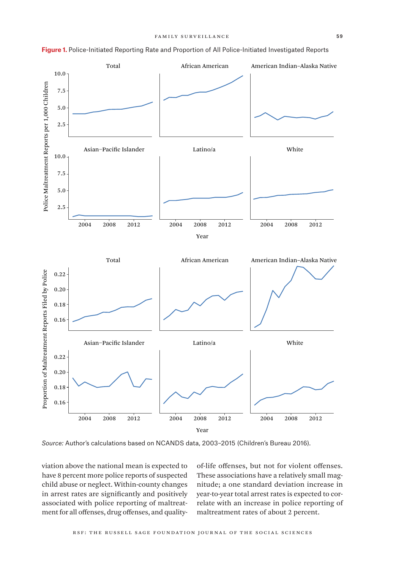

**Figure 1.** Police-Initiated Reporting Rate and Proportion of All Police-Initiated Investigated Reports

*Source:* Author's calculations based on NCANDS data, 2003–2015 (Children's Bureau 2016).

viation above the national mean is expected to have 8 percent more police reports of suspected child abuse or neglect. Within-county changes in arrest rates are significantly and positively associated with police reporting of maltreatment for all offenses, drug offenses, and quality-

of-life offenses, but not for violent offenses. These associations have a relatively small magnitude; a one standard deviation increase in year-to-year total arrest rates is expected to correlate with an increase in police reporting of maltreatment rates of about 2 percent.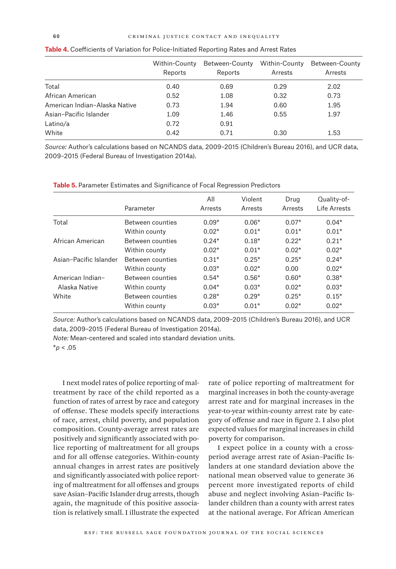|                               | Within-County<br>Reports | Between-County<br>Reports | Within-County<br>Arrests | Between-County<br>Arrests |
|-------------------------------|--------------------------|---------------------------|--------------------------|---------------------------|
| Total                         | 0.40                     | 0.69                      | 0.29                     | 2.02                      |
| African American              | 0.52                     | 1.08                      | 0.32                     | 0.73                      |
| American Indian-Alaska Native | 0.73                     | 1.94                      | 0.60                     | 1.95                      |
| Asian-Pacific Islander        | 1.09                     | 1.46                      | 0.55                     | 1.97                      |
| Latino/a                      | 0.72                     | 0.91                      |                          |                           |
| White                         | 0.42                     | 0.71                      | 0.30                     | 1.53                      |

| <b>Table 4.</b> Coefficients of Variation for Police-Initiated Reporting Rates and Arrest Rates |  |  |  |
|-------------------------------------------------------------------------------------------------|--|--|--|
|-------------------------------------------------------------------------------------------------|--|--|--|

*Source:* Author's calculations based on NCANDS data, 2009–2015 (Children's Bureau 2016), and UCR data, 2009–2015 (Federal Bureau of Investigation 2014a).

**Table 5.** Parameter Estimates and Significance of Focal Regression Predictors

|                        | Parameter        | All<br>Arrests | Violent<br>Arrests | Drug<br>Arrests | Quality-of-<br>I ife Arrests |
|------------------------|------------------|----------------|--------------------|-----------------|------------------------------|
| Total                  | Between counties | $0.09*$        | $0.06*$            | $0.07*$         | $0.04*$                      |
|                        | Within county    | $0.02*$        | $0.01*$            | $0.01*$         | $0.01*$                      |
| African American       | Between counties | $0.24*$        | $0.18*$            | $0.22*$         | $0.21*$                      |
|                        | Within county    | $0.02*$        | $0.01*$            | $0.02*$         | $0.02*$                      |
| Asian-Pacific Islander | Between counties | $0.31*$        | $0.25*$            | $0.25*$         | $0.24*$                      |
|                        | Within county    | $0.03*$        | $0.02*$            | 0.00            | $0.02*$                      |
| American Indian-       | Between counties | $0.54*$        | $0.56*$            | $0.60*$         | $0.38*$                      |
| Alaska Native          | Within county    | $0.04*$        | $0.03*$            | $0.02*$         | $0.03*$                      |
| White                  | Between counties | $0.28*$        | $0.29*$            | $0.25*$         | $0.15*$                      |
|                        | Within county    | $0.03*$        | $0.01*$            | $0.02*$         | $0.02*$                      |

*Source:* Author's calculations based on NCANDS data, 2009–2015 (Children's Bureau 2016), and UCR data, 2009–2015 (Federal Bureau of Investigation 2014a).

*Note:* Mean-centered and scaled into standard deviation units.

\**p* < .05

I next model rates of police reporting of maltreatment by race of the child reported as a function of rates of arrest by race and category of offense. These models specify interactions of race, arrest, child poverty, and population composition. County-average arrest rates are positively and significantly associated with police reporting of maltreatment for all groups and for all offense categories. Within-county annual changes in arrest rates are positively and significantly associated with police reporting of maltreatment for all offenses and groups save Asian–Pacific Islander drug arrests, though again, the magnitude of this positive association is relatively small. I illustrate the expected

rate of police reporting of maltreatment for marginal increases in both the county-average arrest rate and for marginal increases in the year-to-year within-county arrest rate by category of offense and race in figure 2. I also plot expected values for marginal increases in child poverty for comparison.

I expect police in a county with a crossperiod average arrest rate of Asian–Pacific Islanders at one standard deviation above the national mean observed value to generate 36 percent more investigated reports of child abuse and neglect involving Asian–Pacific Islander children than a county with arrest rates at the national average. For African American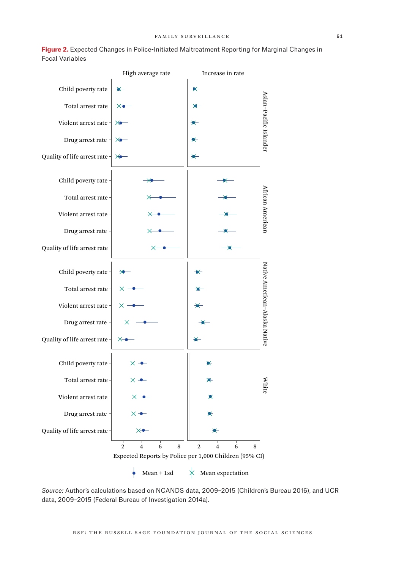

**Figure 2.** Expected Changes in Police-Initiated Maltreatment Reporting for Marginal Changes in Focal Variables

*Source:* Author's calculations based on NCANDS data, 2009–2015 (Children's Bureau 2016), and UCR data, 2009–2015 (Federal Bureau of Investigation 2014a).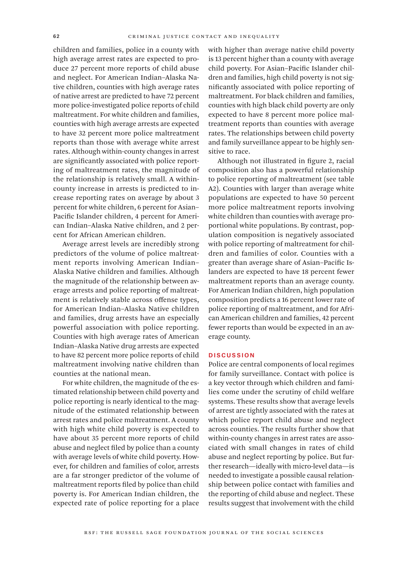children and families, police in a county with high average arrest rates are expected to produce 27 percent more reports of child abuse and neglect. For American Indian–Alaska Native children, counties with high average rates of native arrest are predicted to have 72 percent more police-investigated police reports of child maltreatment. For white children and families, counties with high average arrests are expected to have 32 percent more police maltreatment reports than those with average white arrest rates. Although within-county changes in arrest are significantly associated with police reporting of maltreatment rates, the magnitude of the relationship is relatively small. A withincounty increase in arrests is predicted to increase reporting rates on average by about 3 percent for white children, 6 percent for Asian– Pacific Islander children, 4 percent for American Indian–Alaska Native children, and 2 percent for African American children.

Average arrest levels are incredibly strong predictors of the volume of police maltreatment reports involving American Indian– Alaska Native children and families. Although the magnitude of the relationship between average arrests and police reporting of maltreatment is relatively stable across offense types, for American Indian–Alaska Native children and families, drug arrests have an especially powerful association with police reporting. Counties with high average rates of American Indian–Alaska Native drug arrests are expected to have 82 percent more police reports of child maltreatment involving native children than counties at the national mean.

For white children, the magnitude of the estimated relationship between child poverty and police reporting is nearly identical to the magnitude of the estimated relationship between arrest rates and police maltreatment. A county with high white child poverty is expected to have about 35 percent more reports of child abuse and neglect filed by police than a county with average levels of white child poverty. However, for children and families of color, arrests are a far stronger predictor of the volume of maltreatment reports filed by police than child poverty is. For American Indian children, the expected rate of police reporting for a place

with higher than average native child poverty is 13 percent higher than a county with average child poverty. For Asian–Pacific Islander children and families, high child poverty is not significantly associated with police reporting of maltreatment. For black children and families, counties with high black child poverty are only expected to have 8 percent more police maltreatment reports than counties with average rates. The relationships between child poverty and family surveillance appear to be highly sensitive to race.

Although not illustrated in figure 2, racial composition also has a powerful relationship to police reporting of maltreatment (see table A2). Counties with larger than average white populations are expected to have 50 percent more police maltreatment reports involving white children than counties with average proportional white populations. By contrast, population composition is negatively associated with police reporting of maltreatment for children and families of color. Counties with a greater than average share of Asian–Pacific Islanders are expected to have 18 percent fewer maltreatment reports than an average county. For American Indian children, high population composition predicts a 16 percent lower rate of police reporting of maltreatment, and for African American children and families, 42 percent fewer reports than would be expected in an average county.

## **DISCUSSION**

Police are central components of local regimes for family surveillance. Contact with police is a key vector through which children and families come under the scrutiny of child welfare systems. These results show that average levels of arrest are tightly associated with the rates at which police report child abuse and neglect across counties. The results further show that within-county changes in arrest rates are associated with small changes in rates of child abuse and neglect reporting by police. But further research—ideally with micro-level data—is needed to investigate a possible causal relationship between police contact with families and the reporting of child abuse and neglect. These results suggest that involvement with the child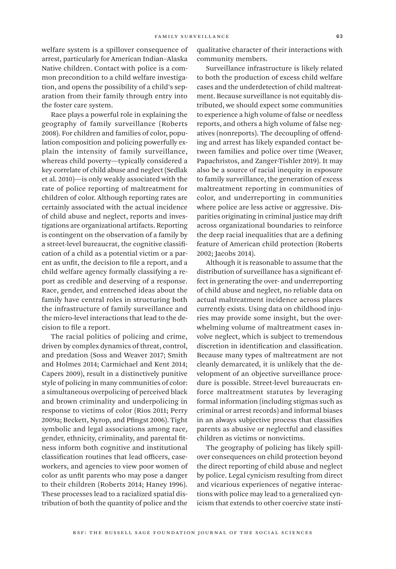welfare system is a spillover consequence of arrest, particularly for American Indian–Alaska Native children. Contact with police is a common precondition to a child welfare investigation, and opens the possibility of a child's separation from their family through entry into the foster care system.

Race plays a powerful role in explaining the geography of family surveillance (Roberts 2008). For children and families of color, population composition and policing powerfully explain the intensity of family surveillance, whereas child poverty—typically considered a key correlate of child abuse and neglect (Sedlak et al. 2010)—is only weakly associated with the rate of police reporting of maltreatment for children of color. Although reporting rates are certainly associated with the actual incidence of child abuse and neglect, reports and investigations are organizational artifacts. Reporting is contingent on the observation of a family by a street-level bureaucrat, the cognitive classification of a child as a potential victim or a parent as unfit, the decision to file a report, and a child welfare agency formally classifying a report as credible and deserving of a response. Race, gender, and entrenched ideas about the family have central roles in structuring both the infrastructure of family surveillance and the micro-level interactions that lead to the decision to file a report.

The racial politics of policing and crime, driven by complex dynamics of threat, control, and predation (Soss and Weaver 2017; Smith and Holmes 2014; Carmichael and Kent 2014; Capers 2009), result in a distinctively punitive style of policing in many communities of color: a simultaneous overpolicing of perceived black and brown criminality and underpolicing in response to victims of color (Rios 2011; Perry 2009a; Beckett, Nyrop, and Pfingst 2006). Tight symbolic and legal associations among race, gender, ethnicity, criminality, and parental fitness inform both cognitive and institutional classification routines that lead officers, caseworkers, and agencies to view poor women of color as unfit parents who may pose a danger to their children (Roberts 2014; Haney 1996). These processes lead to a racialized spatial distribution of both the quantity of police and the

qualitative character of their interactions with community members.

Surveillance infrastructure is likely related to both the production of excess child welfare cases and the underdetection of child maltreatment. Because surveillance is not equitably distributed, we should expect some communities to experience a high volume of false or needless reports, and others a high volume of false negatives (nonreports). The decoupling of offending and arrest has likely expanded contact between families and police over time (Weaver, Papachristos, and Zanger-Tishler 2019). It may also be a source of racial inequity in exposure to family surveillance, the generation of excess maltreatment reporting in communities of color, and underreporting in communities where police are less active or aggressive. Disparities originating in criminal justice may drift across organizational boundaries to reinforce the deep racial inequalities that are a defining feature of American child protection (Roberts 2002; Jacobs 2014).

Although it is reasonable to assume that the distribution of surveillance has a significant effect in generating the over- and underreporting of child abuse and neglect, no reliable data on actual maltreatment incidence across places currently exists. Using data on childhood injuries may provide some insight, but the overwhelming volume of maltreatment cases involve neglect, which is subject to tremendous discretion in identification and classification. Because many types of maltreatment are not cleanly demarcated, it is unlikely that the development of an objective surveillance procedure is possible. Street-level bureaucrats enforce maltreatment statutes by leveraging formal information (including stigmas such as criminal or arrest records) and informal biases in an always subjective process that classifies parents as abusive or neglectful and classifies children as victims or nonvictims.

The geography of policing has likely spillover consequences on child protection beyond the direct reporting of child abuse and neglect by police. Legal cynicism resulting from direct and vicarious experiences of negative interactions with police may lead to a generalized cynicism that extends to other coercive state insti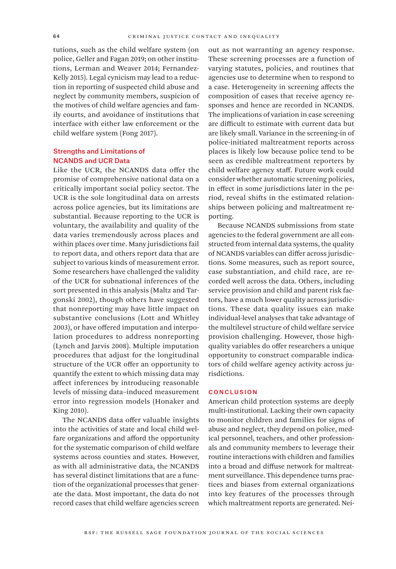tutions, such as the child welfare system (on police, Geller and Fagan 2019; on other institutions, Lerman and Weaver 2014; Fernandez-Kelly 2015). Legal cynicism may lead to a reduction in reporting of suspected child abuse and neglect by community members, suspicion of the motives of child welfare agencies and family courts, and avoidance of institutions that interface with either law enforcement or the child welfare system (Fong 2017).

## Strengths and Limitations of NCANDS and UCR Data

Like the UCR, the NCANDS data offer the promise of comprehensive national data on a critically important social policy sector. The UCR is the sole longitudinal data on arrests across police agencies, but its limitations are substantial. Because reporting to the UCR is voluntary, the availability and quality of the data varies tremendously across places and within places over time. Many jurisdictions fail to report data, and others report data that are subject to various kinds of measurement error. Some researchers have challenged the validity of the UCR for subnational inferences of the sort presented in this analysis (Maltz and Targonski 2002), though others have suggested that nonreporting may have little impact on substantive conclusions (Lott and Whitley 2003), or have offered imputation and interpolation procedures to address nonreporting (Lynch and Jarvis 2008). Multiple imputation procedures that adjust for the longitudinal structure of the UCR offer an opportunity to quantify the extent to which missing data may affect inferences by introducing reasonable levels of missing data–induced measurement error into regression models (Honaker and King 2010).

The NCANDS data offer valuable insights into the activities of state and local child welfare organizations and afford the opportunity for the systematic comparison of child welfare systems across counties and states. However, as with all administrative data, the NCANDS has several distinct limitations that are a function of the organizational processes that generate the data. Most important, the data do not record cases that child welfare agencies screen

out as not warranting an agency response. These screening processes are a function of varying statutes, policies, and routines that agencies use to determine when to respond to a case. Heterogeneity in screening affects the composition of cases that receive agency responses and hence are recorded in NCANDS. The implications of variation in case screening are difficult to estimate with current data but are likely small. Variance in the screening-in of police-initiated maltreatment reports across places is likely low because police tend to be seen as credible maltreatment reporters by child welfare agency staff. Future work could consider whether automatic screening policies, in effect in some jurisdictions later in the period, reveal shifts in the estimated relationships between policing and maltreatment reporting.

Because NCANDS submissions from state agencies to the federal government are all constructed from internal data systems, the quality of NCANDS variables can differ across jurisdictions. Some measures, such as report source, case substantiation, and child race, are recorded well across the data. Others, including service provision and child and parent risk factors, have a much lower quality across jurisdictions. These data quality issues can make individual-level analyses that take advantage of the multilevel structure of child welfare service provision challenging. However, those highquality variables do offer researchers a unique opportunity to construct comparable indicators of child welfare agency activity across jurisdictions.

#### **CONCLUSION**

American child protection systems are deeply multi-institutional. Lacking their own capacity to monitor children and families for signs of abuse and neglect, they depend on police, medical personnel, teachers, and other professionals and community members to leverage their routine interactions with children and families into a broad and diffuse network for maltreatment surveillance. This dependence turns practices and biases from external organizations into key features of the processes through which maltreatment reports are generated. Nei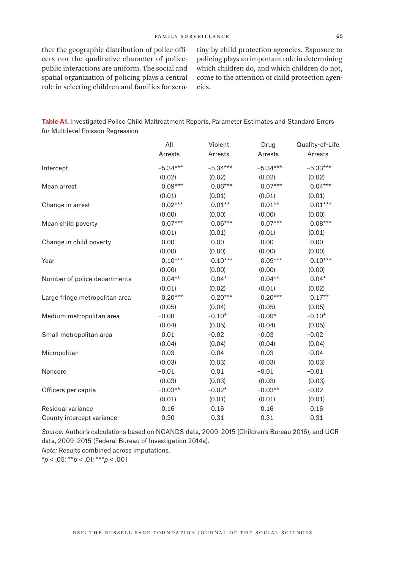ther the geographic distribution of police officers nor the qualitative character of policepublic interactions are uniform. The social and spatial organization of policing plays a central role in selecting children and families for scrutiny by child protection agencies. Exposure to policing plays an important role in determining which children do, and which children do not, come to the attention of child protection agencies.

| Table A1. Investigated Police Child Maltreatment Reports, Parameter Estimates and Standard Errors |  |  |  |
|---------------------------------------------------------------------------------------------------|--|--|--|
| for Multilevel Poisson Regression                                                                 |  |  |  |

|                                | All<br>Arrests | Violent<br>Arrests | Drug<br>Arrests | Quality-of-Life<br>Arrests |
|--------------------------------|----------------|--------------------|-----------------|----------------------------|
| Intercept                      | $-5.34***$     | $-5.34***$         | $-5.34***$      | $-5.33***$                 |
|                                | (0.02)         | (0.02)             | (0.02)          | (0.02)                     |
| Mean arrest                    | $0.09***$      | $0.06***$          | $0.07***$       | $0.04***$                  |
|                                | (0.01)         | (0.01)             | (0.01)          | (0.01)                     |
| Change in arrest               | $0.02***$      | $0.01**$           | $0.01**$        | $0.01***$                  |
|                                | (0.00)         | (0.00)             | (0.00)          | (0.00)                     |
| Mean child poverty             | $0.07***$      | $0.06***$          | $0.07***$       | $0.08***$                  |
|                                | (0.01)         | (0.01)             | (0.01)          | (0.01)                     |
| Change in child poverty        | 0.00           | 0.00               | 0.00            | 0.00                       |
|                                | (0.00)         | (0.00)             | (0.00)          | (0.00)                     |
| Year                           | $0.10***$      | $0.10***$          | $0.09***$       | $0.10***$                  |
|                                | (0.00)         | (0.00)             | (0.00)          | (0.00)                     |
| Number of police departments   | $0.04**$       | $0.04*$            | $0.04**$        | $0.04*$                    |
|                                | (0.01)         | (0.02)             | (0.01)          | (0.02)                     |
| Large fringe metropolitan area | $0.20***$      | $0.20***$          | $0.20***$       | $0.17**$                   |
|                                | (0.05)         | (0.04)             | (0.05)          | (0.05)                     |
| Medium metropolitan area       | $-0.08$        | $-0.10*$           | $-0.09*$        | $-0.10*$                   |
|                                | (0.04)         | (0.05)             | (0.04)          | (0.05)                     |
| Small metropolitan area        | 0.01           | $-0.02$            | $-0.03$         | $-0.02$                    |
|                                | (0.04)         | (0.04)             | (0.04)          | (0.04)                     |
| Micropolitan                   | $-0.03$        | $-0.04$            | $-0.03$         | $-0.04$                    |
|                                | (0.03)         | (0.03)             | (0.03)          | (0.03)                     |
| Noncore                        | $-0.01$        | 0.01               | $-0.01$         | $-0.01$                    |
|                                | (0.03)         | (0.03)             | (0.03)          | (0.03)                     |
| Officers per capita            | $-0.03**$      | $-0.02*$           | $-0.03**$       | $-0.02$                    |
|                                | (0.01)         | (0.01)             | (0.01)          | (0.01)                     |
| Residual variance              | 0.16           | 0.16               | 0.16            | 0.16                       |
| County intercept variance      | 0.30           | 0.31               | 0.31            | 0.31                       |

*Source:* Author's calculations based on NCANDS data, 2009–2015 (Children's Bureau 2016), and UCR data, 2009–2015 (Federal Bureau of Investigation 2014a).

*Note:* Results combined across imputations.

\**p* < .05; \*\**p* < .01; \*\*\**p* < .001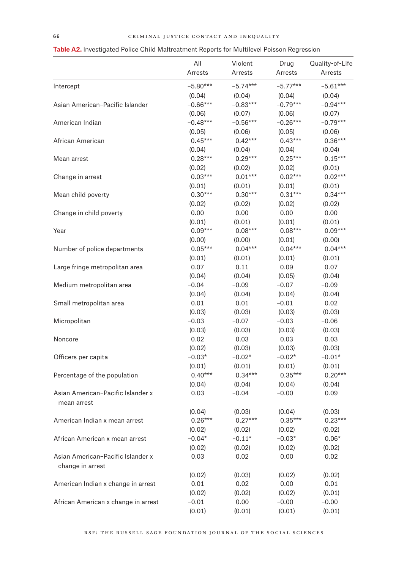|                                                  | All        | Violent    | Drug       | Quality-of-Life |
|--------------------------------------------------|------------|------------|------------|-----------------|
|                                                  | Arrests    | Arrests    | Arrests    | Arrests         |
| Intercept                                        | $-5.80***$ | $-5.74***$ | $-5.77***$ | $-5.61***$      |
|                                                  | (0.04)     | (0.04)     | (0.04)     | (0.04)          |
| Asian American-Pacific Islander                  | $-0.66***$ | $-0.83***$ | $-0.79***$ | $-0.94***$      |
|                                                  | (0.06)     | (0.07)     | (0.06)     | (0.07)          |
| American Indian                                  | $-0.48***$ | $-0.56***$ | $-0.26***$ | $-0.79***$      |
|                                                  | (0.05)     | (0.06)     | (0.05)     | (0.06)          |
| African American                                 | $0.45***$  | $0.42***$  | $0.43***$  | $0.36***$       |
|                                                  | (0.04)     | (0.04)     | (0.04)     | (0.04)          |
| Mean arrest                                      | $0.28***$  | $0.29***$  | $0.25***$  | $0.15***$       |
|                                                  | (0.02)     | (0.02)     | (0.02)     | (0.01)          |
| Change in arrest                                 | $0.03***$  | $0.01***$  | $0.02***$  | $0.02***$       |
|                                                  | (0.01)     | (0.01)     | (0.01)     | (0.01)          |
| Mean child poverty                               | $0.30***$  | $0.30***$  | $0.31***$  | $0.34***$       |
|                                                  | (0.02)     | (0.02)     | (0.02)     | (0.02)          |
| Change in child poverty                          | 0.00       | 0.00       | 0.00       | 0.00            |
|                                                  | (0.01)     | (0.01)     | (0.01)     | (0.01)          |
| Year                                             | $0.09***$  | $0.08***$  | $0.08***$  | $0.09***$       |
|                                                  | (0.00)     | (0.00)     | (0.01)     | (0.00)          |
| Number of police departments                     | $0.05***$  | $0.04***$  | $0.04***$  | $0.04***$       |
|                                                  | (0.01)     | (0.01)     | (0.01)     | (0.01)          |
| Large fringe metropolitan area                   | 0.07       | 0.11       | 0.09       | 0.07            |
|                                                  | (0.04)     | (0.04)     | (0.05)     | (0.04)          |
| Medium metropolitan area                         | $-0.04$    | $-0.09$    | $-0.07$    | $-0.09$         |
|                                                  | (0.04)     | (0.04)     | (0.04)     | (0.04)          |
| Small metropolitan area                          | 0.01       | 0.01       | $-0.01$    | 0.02            |
|                                                  | (0.03)     | (0.03)     | (0.03)     | (0.03)          |
| Micropolitan                                     | $-0.03$    | $-0.07$    | $-0.03$    | $-0.06$         |
|                                                  | (0.03)     | (0.03)     | (0.03)     | (0.03)          |
| Noncore                                          | 0.02       | 0.03       | 0.03       | 0.03            |
|                                                  | (0.02)     | (0.03)     | (0.03)     | (0.03)          |
| Officers per capita                              | $-0.03*$   | $-0.02*$   | $-0.02*$   | $-0.01*$        |
|                                                  | (0.01)     | (0.01)     | (0.01)     | (0.01)          |
| Percentage of the population                     | $0.40***$  | $0.34***$  | $0.35***$  | $0.20***$       |
|                                                  | (0.04)     | (0.04)     | (0.04)     | (0.04)          |
| Asian American-Pacific Islander x<br>mean arrest | 0.03       | $-0.04$    | $-0.00$    | 0.09            |
|                                                  | (0.04)     | (0.03)     | (0.04)     | (0.03)          |
| American Indian x mean arrest                    | $0.26***$  | $0.27***$  | $0.35***$  | $0.23***$       |
|                                                  | (0.02)     | (0.02)     | (0.02)     | (0.02)          |
| African American x mean arrest                   | $-0.04*$   | $-0.11*$   | $-0.03*$   | $0.06*$         |
|                                                  | (0.02)     | (0.02)     | (0.02)     | (0.02)          |
| Asian American-Pacific Islander x                | 0.03       | 0.02       | 0.00       | 0.02            |
| change in arrest                                 |            |            |            |                 |
|                                                  | (0.02)     | (0.03)     | (0.02)     | (0.02)          |
| American Indian x change in arrest               | 0.01       | 0.02       | 0.00       | 0.01            |
|                                                  | (0.02)     | (0.02)     | (0.02)     | (0.01)          |
| African American x change in arrest              | $-0.01$    | 0.00       | $-0.00$    | $-0.00$         |
|                                                  | (0.01)     | (0.01)     | (0.01)     | (0.01)          |

# **Table A2.** Investigated Police Child Maltreatment Reports for Multilevel Poisson Regression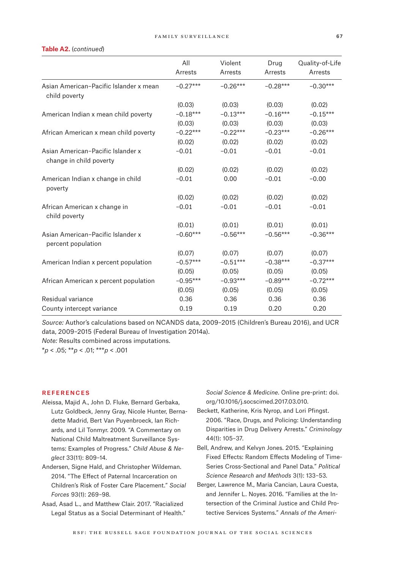#### **Table A2.** (*continued*)

|                                                         | All<br>Arrests | Violent<br>Arrests | Drug<br>Arrests | Quality-of-Life<br>Arrests |
|---------------------------------------------------------|----------------|--------------------|-----------------|----------------------------|
| Asian American-Pacific Islander x mean<br>child poverty | $-0.27***$     | $-0.26***$         | $-0.28***$      | $-0.30***$                 |
|                                                         | (0.03)         | (0.03)             | (0.03)          | (0.02)                     |
| American Indian x mean child poverty                    | $-0.18***$     | $-0.13***$         | $-0.16***$      | $-0.15***$                 |
|                                                         | (0.03)         | (0.03)             | (0.03)          | (0.03)                     |
| African American x mean child poverty                   | $-0.22***$     | $-0.22***$         | $-0.23***$      | $-0.26***$                 |
|                                                         | (0.02)         | (0.02)             | (0.02)          | (0.02)                     |
| Asian American-Pacific Islander x                       | $-0.01$        | $-0.01$            | $-0.01$         | $-0.01$                    |
| change in child poverty                                 |                |                    |                 |                            |
|                                                         | (0.02)         | (0.02)             | (0.02)          | (0.02)                     |
| American Indian x change in child<br>poverty            | $-0.01$        | 0.00               | $-0.01$         | $-0.00$                    |
|                                                         | (0.02)         | (0.02)             | (0.02)          | (0.02)                     |
| African American x change in<br>child poverty           | $-0.01$        | $-0.01$            | $-0.01$         | $-0.01$                    |
|                                                         | (0.01)         | (0.01)             | (0.01)          | (0.01)                     |
| Asian American-Pacific Islander x<br>percent population | $-0.60***$     | $-0.56***$         | $-0.56***$      | $-0.36***$                 |
|                                                         | (0.07)         | (0.07)             | (0.07)          | (0.07)                     |
| American Indian x percent population                    | $-0.57***$     | $-0.51***$         | $-0.38***$      | $-0.37***$                 |
|                                                         | (0.05)         | (0.05)             | (0.05)          | (0.05)                     |
| African American x percent population                   | $-0.95***$     | $-0.93***$         | $-0.89***$      | $-0.72***$                 |
|                                                         | (0.05)         | (0.05)             | (0.05)          | (0.05)                     |
| Residual variance                                       | 0.36           | 0.36               | 0.36            | 0.36                       |
| County intercept variance                               | 0.19           | 0.19               | 0.20            | 0.20                       |

*Source:* Author's calculations based on NCANDS data, 2009–2015 (Children's Bureau 2016), and UCR data, 2009–2015 (Federal Bureau of Investigation 2014a).

*Note:* Results combined across imputations. \**p* < .05; \*\**p* < .01; \*\*\**p* < .001

#### **REFERENCES**

- Aleissa, Majid A., John D. Fluke, Bernard Gerbaka, Lutz Goldbeck, Jenny Gray, Nicole Hunter, Bernadette Madrid, Bert Van Puyenbroeck, Ian Richards, and Lil Tonmyr. 2009. "A Commentary on National Child Maltreatment Surveillance Systems: Examples of Progress." *Child Abuse & Neglect* 33(11): 809–14.
- Andersen, Signe Hald, and Christopher Wildeman. 2014. "The Effect of Paternal Incarceration on Children's Risk of Foster Care Placement." *Social Forces* 93(1): 269–98.
- Asad, Asad L., and Matthew Clair. 2017. "Racialized Legal Status as a Social Determinant of Health."

*Social Science & Medicine*. Online pre-print: [doi.](doi.org/10.1016/j.socscimed.2017.03.010) [org/10.1016/j.socscimed.2017.03.010.](doi.org/10.1016/j.socscimed.2017.03.010)

- Beckett, Katherine, Kris Nyrop, and Lori Pfingst. 2006. "Race, Drugs, and Policing: Understanding Disparities in Drug Delivery Arrests." *Criminology* 44(1): 105–37.
- Bell, Andrew, and Kelvyn Jones. 2015. "Explaining Fixed Effects: Random Effects Modeling of Time-Series Cross-Sectional and Panel Data." *Political Science Research and Methods* 3(1): 133–53.
- Berger, Lawrence M., Maria Cancian, Laura Cuesta, and Jennifer L. Noyes. 2016. "Families at the Intersection of the Criminal Justice and Child Protective Services Systems." *Annals of the Ameri-*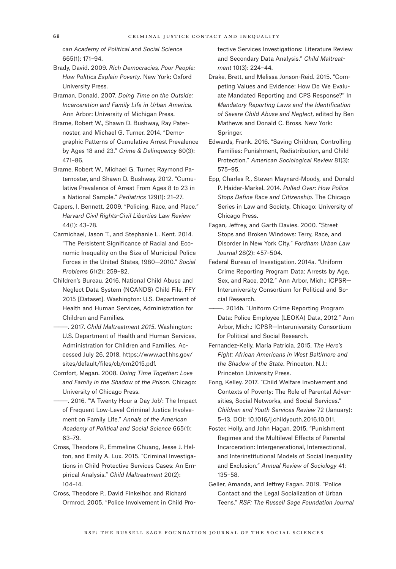*can Academy of Political and Social Science* 665(1): 171–94.

- Brady, David. 2009. *Rich Democracies, Poor People: How Politics Explain Poverty*. New York: Oxford University Press.
- Braman, Donald. 2007. *Doing Time on the Outside: Incarceration and Family Life in Urban America*. Ann Arbor: University of Michigan Press.
- Brame, Robert W., Shawn D. Bushway, Ray Paternoster, and Michael G. Turner. 2014. "Demographic Patterns of Cumulative Arrest Prevalence by Ages 18 and 23." *Crime & Delinquency* 60(3): 471–86.
- Brame, Robert W., Michael G. Turner, Raymond Paternoster, and Shawn D. Bushway. 2012. "Cumulative Prevalence of Arrest From Ages 8 to 23 in a National Sample." *Pediatrics* 129(1): 21–27.
- Capers, I. Bennett. 2009. "Policing, Race, and Place." *Harvard Civil Rights-Civil Liberties Law Review* 44(1): 43–78.
- Carmichael, Jason T., and Stephanie L. Kent. 2014. "The Persistent Significance of Racial and Economic Inequality on the Size of Municipal Police Forces in the United States, 1980—2010." *Social Problems* 61(2): 259–82.
- Children's Bureau. 2016. National Child Abuse and Neglect Data System (NCANDS) Child File, FFY 2015 [Dataset]. Washington: U.S. Department of Health and Human Services, Administration for Children and Families.
- ———. 2017. *Child Maltreatment 2015*. Washington: U.S. Department of Health and Human Services, Administration for Children and Families. Accessed July 26, 2018. [https://www.acf.hhs.gov/](https://www.acf.hhs.gov/sites/default/files/cb/cm2015.pdf) [sites/default/files/cb/cm2015.pdf.](https://www.acf.hhs.gov/sites/default/files/cb/cm2015.pdf)
- Comfort, Megan. 2008. *Doing Time Together: Love and Family in the Shadow of the Prison*. Chicago: University of Chicago Press.
- -. 2016. "'A Twenty Hour a Day Job': The Impact of Frequent Low-Level Criminal Justice Involvement on Family Life." *Annals of the American Academy of Political and Social Science* 665(1): 63–79.
- Cross, Theodore P., Emmeline Chuang, Jesse J. Helton, and Emily A. Lux. 2015. "Criminal Investigations in Child Protective Services Cases: An Empirical Analysis." *Child Maltreatment* 20(2): 104–14.
- Cross, Theodore P., David Finkelhor, and Richard Ormrod. 2005. "Police Involvement in Child Pro-

tective Services Investigations: Literature Review and Secondary Data Analysis." *Child Maltreatment* 10(3): 224–44.

- Drake, Brett, and Melissa Jonson-Reid. 2015. "Competing Values and Evidence: How Do We Evaluate Mandated Reporting and CPS Response?" In *Mandatory Reporting Laws and the Identification of Severe Child Abuse and Neglect*, edited by Ben Mathews and Donald C. Bross. New York: Springer.
- Edwards, Frank. 2016. "Saving Children, Controlling Families: Punishment, Redistribution, and Child Protection." *American Sociological Review* 81(3): 575–95.
- Epp, Charles R., Steven Maynard-Moody, and Donald P. Haider-Markel. 2014. *Pulled Over: How Police Stops Define Race and Citizenship*. The Chicago Series in Law and Society. Chicago: University of Chicago Press.
- Fagan, Jeffrey, and Garth Davies. 2000. "Street Stops and Broken Windows: Terry, Race, and Disorder in New York City." *Fordham Urban Law Journal* 28(2): 457–504.
- Federal Bureau of Investigation. 2014a. "Uniform Crime Reporting Program Data: Arrests by Age, Sex, and Race, 2012." Ann Arbor, Mich.: ICPSR— Interuniversity Consortium for Political and Social Research.
- -. 2014b. "Uniform Crime Reporting Program Data: Police Employee (LEOKA) Data, 2012." Ann Arbor, Mich.: ICPSR—Interuniversity Consortium for Political and Social Research.
- Fernandez-Kelly, María Patricia. 2015. *The Hero's Fight: African Americans in West Baltimore and the Shadow of the State*. Princeton, N.J.: Princeton University Press.
- Fong, Kelley. 2017. "Child Welfare Involvement and Contexts of Poverty: The Role of Parental Adversities, Social Networks, and Social Services." *Children and Youth Services Review* 72 (January): 5–13. DOI: 10.1016/j.childyouth.2016.10.011.
- Foster, Holly, and John Hagan. 2015. "Punishment Regimes and the Multilevel Effects of Parental Incarceration: Intergenerational, Intersectional, and Interinstitutional Models of Social Inequality and Exclusion." *Annual Review of Sociology* 41: 135–58.
- Geller, Amanda, and Jeffrey Fagan. 2019. "Police Contact and the Legal Socialization of Urban Teens." *RSF: The Russell Sage Foundation Journal*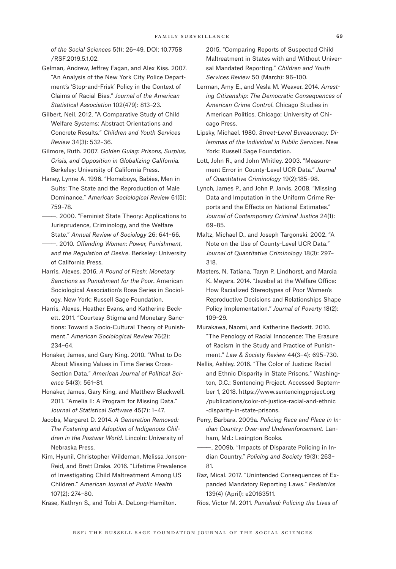*of the Social Sciences* 5(1): 26–49. DOI: 10.7758 /RSF.2019.5.1.02.

- Gelman, Andrew, Jeffrey Fagan, and Alex Kiss. 2007. "An Analysis of the New York City Police Department's 'Stop-and-Frisk' Policy in the Context of Claims of Racial Bias." *Journal of the American Statistical Association* 102(479): 813–23.
- Gilbert, Neil. 2012. "A Comparative Study of Child Welfare Systems: Abstract Orientations and Concrete Results." *Children and Youth Services Review* 34(3): 532–36.
- Gilmore, Ruth. 2007. *Golden Gulag: Prisons, Surplus, Crisis, and Opposition in Globalizing California*. Berkeley: University of California Press.
- Haney, Lynne A. 1996. "Homeboys, Babies, Men in Suits: The State and the Reproduction of Male Dominance." *American Sociological Review* 61(5): 759–78.
- ———. 2000. "Feminist State Theory: Applications to Jurisprudence, Criminology, and the Welfare State." *Annual Review of Sociology* 26: 641–66.
- ———. 2010. *Offending Women: Power, Punishment, and the Regulation of Desire*. Berkeley: University of California Press.
- Harris, Alexes. 2016. *A Pound of Flesh: Monetary Sanctions as Punishment for the Poor*. American Sociological Association's Rose Series in Sociology. New York: Russell Sage Foundation.
- Harris, Alexes, Heather Evans, and Katherine Beckett. 2011. "Courtesy Stigma and Monetary Sanctions: Toward a Socio-Cultural Theory of Punishment." *American Sociological Review* 76(2): 234–64.
- Honaker, James, and Gary King. 2010. "What to Do About Missing Values in Time Series Cross-Section Data." *American Journal of Political Science* 54(3): 561–81.
- Honaker, James, Gary King, and Matthew Blackwell. 2011. "Amelia II: A Program for Missing Data." *Journal of Statistical Software* 45(7): 1–47.
- Jacobs, Margaret D. 2014. *A Generation Removed: The Fostering and Adoption of Indigenous Children in the Postwar World*. Lincoln: University of Nebraska Press.
- Kim, Hyunil, Christopher Wildeman, Melissa Jonson-Reid, and Brett Drake. 2016. "Lifetime Prevalence of Investigating Child Maltreatment Among US Children." *American Journal of Public Health* 107(2): 274–80.
- Krase, Kathryn S., and Tobi A. DeLong-Hamilton.

2015. "Comparing Reports of Suspected Child Maltreatment in States with and Without Universal Mandated Reporting." *Children and Youth Services Review* 50 (March): 96–100.

- Lerman, Amy E., and Vesla M. Weaver. 2014. *Arresting Citizenship: The Democratic Consequences of American Crime Control*. Chicago Studies in American Politics. Chicago: University of Chicago Press.
- Lipsky, Michael. 1980. *Street-Level Bureaucracy: Dilemmas of the Individual in Public Services*. New York: Russell Sage Foundation.
- Lott, John R., and John Whitley. 2003. "Measurement Error in County-Level UCR Data." *Journal of Quantitative Criminology* 19(2):185–98.
- Lynch, James P., and John P. Jarvis. 2008. "Missing Data and Imputation in the Uniform Crime Reports and the Effects on National Estimates." *Journal of Contemporary Criminal Justice* 24(1): 69–85.
- Maltz, Michael D., and Joseph Targonski. 2002. "A Note on the Use of County-Level UCR Data." *Journal of Quantitative Criminology* 18(3): 297– 318.
- Masters, N. Tatiana, Taryn P. Lindhorst, and Marcia K. Meyers. 2014. "Jezebel at the Welfare Office: How Racialized Stereotypes of Poor Women's Reproductive Decisions and Relationships Shape Policy Implementation." *Journal of Poverty* 18(2): 109–29.
- Murakawa, Naomi, and Katherine Beckett. 2010. "The Penology of Racial Innocence: The Erasure of Racism in the Study and Practice of Punishment." *Law & Society Review* 44(3–4): 695–730.
- Nellis, Ashley. 2016. "The Color of Justice: Racial and Ethnic Disparity in State Prisons." Washington, D.C.: Sentencing Project. Accessed September 1, 2018. [https://www.sentencingproject.org](https://www.sentencingproject.org/publications/color-of-justice-racial-and-ethnic-disparity-in-state-prisons) [/publications/color-of-justice-racial-and-ethnic](https://www.sentencingproject.org/publications/color-of-justice-racial-and-ethnic-disparity-in-state-prisons) [-disparity-in-state-prisons.](https://www.sentencingproject.org/publications/color-of-justice-racial-and-ethnic-disparity-in-state-prisons)
- Perry, Barbara. 2009a. *Policing Race and Place in Indian Country: Over-and Underenforcement*. Lanham, Md.: Lexington Books.
- -. 2009b. "Impacts of Disparate Policing in Indian Country." *Policing and Society* 19(3): 263– 81.
- Raz, Mical. 2017. "Unintended Consequences of Expanded Mandatory Reporting Laws." *Pediatrics* 139(4) (April): e20163511.
- Rios, Victor M. 2011. *Punished: Policing the Lives of*